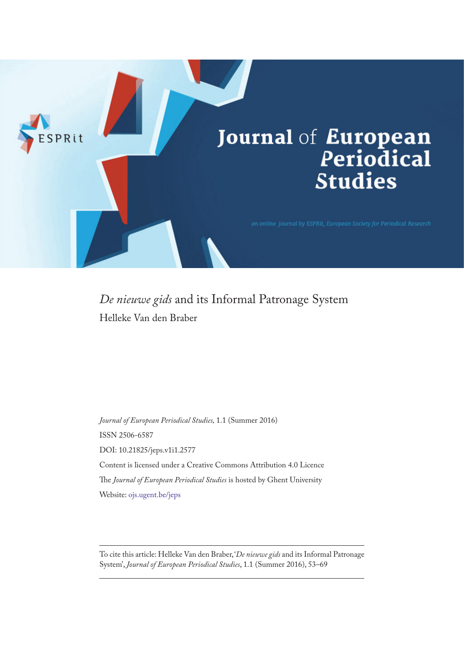

*De nieuwe gids* and its Informal Patronage System Helleke Van den Braber

*Journal of European Periodical Studies,* 1.1 (Summer 2016) ISSN 2506-6587 DOI: 10.21825/jeps.v1i1.2577 Content is licensed under a Creative Commons Attribution 4.0 Licence The *Journal of European Periodical Studies* is hosted by Ghent University Website: [ojs.ugent.be/jeps](http://ojs.ugent.be/jeps)

To cite this article: Helleke Van den Braber, '*De nieuwe gids* and its Informal Patronage System', *Journal of European Periodical Studies*, 1.1 (Summer 2016), 53–69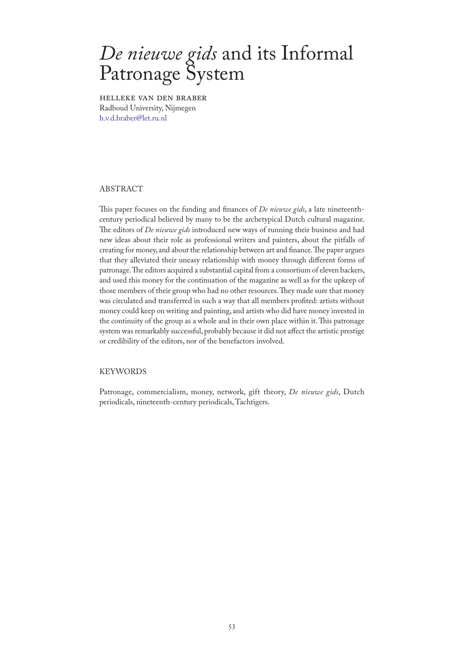# *De nieuwe gids* and its Informal Patronage System

Helleke van den Braber Radboud University, Nijmegen [h.v.d.braber@let.ru.nl](mailto:h.v.d.braber@let.ru.nl)

## ABSTRACT

This paper focuses on the funding and finances of *De nieuwe gids*, a late nineteenthcentury periodical believed by many to be the archetypical Dutch cultural magazine. The editors of *De nieuwe gids* introduced new ways of running their business and had new ideas about their role as professional writers and painters, about the pitfalls of creating for money, and about the relationship between art and finance. The paper argues that they alleviated their uneasy relationship with money through different forms of patronage. The editors acquired a substantial capital from a consortium of eleven backers, and used this money for the continuation of the magazine as well as for the upkeep of those members of their group who had no other resources. They made sure that money was circulated and transferred in such a way that all members profited: artists without money could keep on writing and painting, and artists who did have money invested in the continuity of the group as a whole and in their own place within it. This patronage system was remarkably successful, probably because it did not affect the artistic prestige or credibility of the editors, nor of the benefactors involved.

# KEYWORDS

Patronage, commercialism, money, network, gift theory, *De nieuwe gids*, Dutch periodicals, nineteenth-century periodicals, Tachtigers.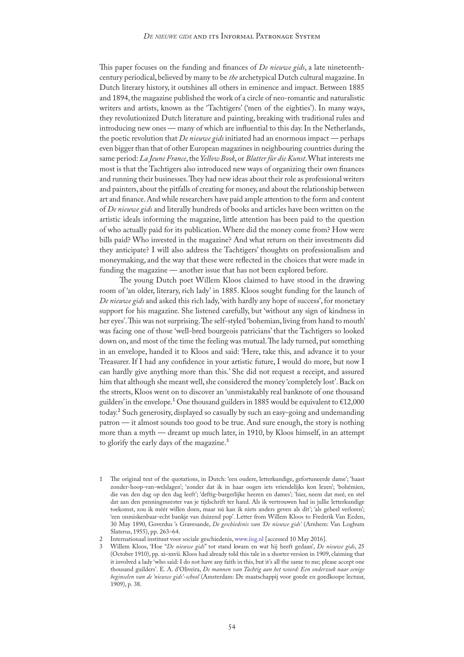This paper focuses on the funding and finances of *De nieuwe gids*, a late nineteenthcentury periodical, believed by many to be *the* archetypical Dutch cultural magazine. In Dutch literary history, it outshines all others in eminence and impact. Between 1885 and 1894, the magazine published the work of a circle of neo-romantic and naturalistic writers and artists, known as the 'Tachtigers' ('men of the eighties'). In many ways, they revolutionized Dutch literature and painting, breaking with traditional rules and introducing new ones — many of which are influential to this day. In the Netherlands, the poetic revolution that *De nieuwe gids* initiated had an enormous impact — perhaps even bigger than that of other European magazines in neighbouring countries during the same period: *La Jeune France*, the *Yellow Book*, or *Blatter für die Kunst*. What interests me most is that the Tachtigers also introduced new ways of organizing their own finances and running their businesses. They had new ideas about their role as professional writers and painters, about the pitfalls of creating for money, and about the relationship between art and finance. And while researchers have paid ample attention to the form and content of *De nieuwe gids* and literally hundreds of books and articles have been written on the artistic ideals informing the magazine, little attention has been paid to the question of who actually paid for its publication. Where did the money come from? How were bills paid? Who invested in the magazine? And what return on their investments did they anticipate? I will also address the Tachtigers' thoughts on professionalism and moneymaking, and the way that these were reflected in the choices that were made in funding the magazine — another issue that has not been explored before.

The young Dutch poet Willem Kloos claimed to have stood in the drawing room of 'an older, literary, rich lady' in 1885. Kloos sought funding for the launch of *De nieuwe gids* and asked this rich lady, 'with hardly any hope of success', for monetary support for his magazine. She listened carefully, but 'without any sign of kindness in her eyes'. This was not surprising. The self-styled 'bohemian, living from hand to mouth' was facing one of those 'well-bred bourgeois patricians' that the Tachtigers so looked down on, and most of the time the feeling was mutual. The lady turned, put something in an envelope, handed it to Kloos and said: 'Here, take this, and advance it to your Treasurer. If I had any confidence in your artistic future, I would do more, but now I can hardly give anything more than this.' She did not request a receipt, and assured him that although she meant well, she considered the money 'completely lost'. Back on the streets, Kloos went on to discover an 'unmistakably real banknote of one thousand guilders' in the envelope.<sup>1</sup> One thousand guilders in 1885 would be equivalent to  $\text{\textsterling}12,000$ today.2 Such generosity, displayed so casually by such an easy-going and undemanding patron — it almost sounds too good to be true. And sure enough, the story is nothing more than a myth — dreamt up much later, in 1910, by Kloos himself, in an attempt to glorify the early days of the magazine.<sup>3</sup>

<sup>1</sup> The original text of the quotations, in Dutch: 'een oudere, letterkundige, gefortuneerde dame'; 'haast zonder-hoop-van-welslagen'; 'zonder dat ik in haar oogen iets vriendelijks kon lezen'; 'bohémien, die van den dag op den dag leeft'; 'deftig-burgerlijke heeren en dames'; 'hier, neem dat meê, en stel dat aan den penningmeester van je tijdschrift ter hand. Als ik vertrouwen had in jullie letterkundige toekomst, zou ik méér willen doen, maar nú kan ik niets anders geven als dit'; 'als geheel verloren'; 'een onmiskenbaar-echt bankje van duizend pop'. Letter from Willem Kloos to Frederik Van Eeden, 30 May 1890, Goverdus 's Gravesande, *De geschiedenis van 'De nieuwe gids'* (Arnhem: Van Loghum Slaterus, 1955), pp. 263–64.

<sup>2</sup> Internationaal instituut voor sociale geschiedenis, [www.iisg.nl](http://www.iisg.nl/hpw/calculate2-nl.php) [accessed 10 May 2016].

<sup>3</sup> Willem Kloos, 'Hoe "*De nieuwe gids*" tot stand kwam en wat hij heeft gedaan', *De nieuwe gids*, 25 (October 1910), pp. xi–xxvii. Kloos had already told this tale in a shorter version in 1909, claiming that it involved a lady 'who said: I do not have any faith in this, but it's all the same to me; please accept one thousand guilders'. E. A. d'Oliveira, *De mannen van Tachtig aan het woord: Een onderzoek naar eenige beginselen van de 'nieuwe gids'-school* (Amsterdam: De maatschappij voor goede en goedkoope lectuur, 1909), p. 38.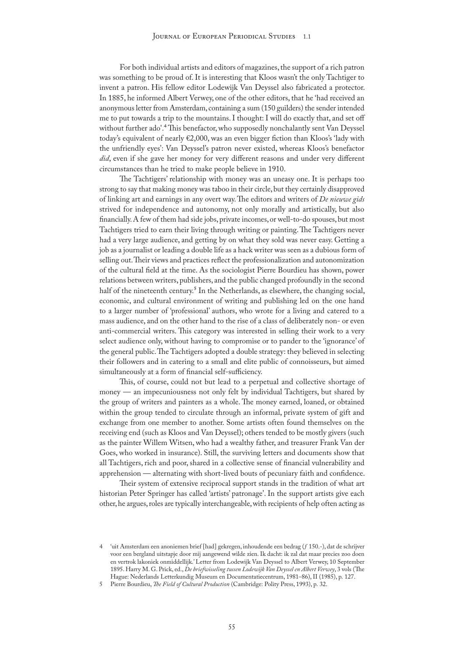For both individual artists and editors of magazines, the support of a rich patron was something to be proud of. It is interesting that Kloos wasn't the only Tachtiger to invent a patron. His fellow editor Lodewijk Van Deyssel also fabricated a protector. In 1885, he informed Albert Verwey, one of the other editors, that he 'had received an anonymous letter from Amsterdam, containing a sum (150 guilders) the sender intended me to put towards a trip to the mountains. I thought: I will do exactly that, and set off without further ado'.4 This benefactor, who supposedly nonchalantly sent Van Deyssel today's equivalent of nearly €2,000, was an even bigger fiction than Kloos's 'lady with the unfriendly eyes': Van Deyssel's patron never existed, whereas Kloos's benefactor *did*, even if she gave her money for very different reasons and under very different circumstances than he tried to make people believe in 1910.

The Tachtigers' relationship with money was an uneasy one. It is perhaps too strong to say that making money was taboo in their circle, but they certainly disapproved of linking art and earnings in any overt way. The editors and writers of *De nieuwe gids* strived for independence and autonomy, not only morally and artistically, but also financially. A few of them had side jobs, private incomes, or well-to-do spouses, but most Tachtigers tried to earn their living through writing or painting. The Tachtigers never had a very large audience, and getting by on what they sold was never easy. Getting a job as a journalist or leading a double life as a hack writer was seen as a dubious form of selling out. Their views and practices reflect the professionalization and autonomization of the cultural field at the time. As the sociologist Pierre Bourdieu has shown, power relations between writers, publishers, and the public changed profoundly in the second half of the nineteenth century.<sup>5</sup> In the Netherlands, as elsewhere, the changing social, economic, and cultural environment of writing and publishing led on the one hand to a larger number of 'professional' authors, who wrote for a living and catered to a mass audience, and on the other hand to the rise of a class of deliberately non- or even anti-commercial writers. This category was interested in selling their work to a very select audience only, without having to compromise or to pander to the 'ignorance' of the general public. The Tachtigers adopted a double strategy: they believed in selecting their followers and in catering to a small and elite public of connoisseurs, but aimed simultaneously at a form of financial self-sufficiency.

This, of course, could not but lead to a perpetual and collective shortage of money — an impecuniousness not only felt by individual Tachtigers, but shared by the group of writers and painters as a whole. The money earned, loaned, or obtained within the group tended to circulate through an informal, private system of gift and exchange from one member to another. Some artists often found themselves on the receiving end (such as Kloos and Van Deyssel); others tended to be mostly givers (such as the painter Willem Witsen, who had a wealthy father, and treasurer Frank Van der Goes, who worked in insurance). Still, the surviving letters and documents show that all Tachtigers, rich and poor, shared in a collective sense of financial vulnerability and apprehension — alternating with short-lived bouts of pecuniary faith and confidence.

Their system of extensive reciprocal support stands in the tradition of what art historian Peter Springer has called 'artists' patronage'. In the support artists give each other, he argues, roles are typically interchangeable, with recipients of help often acting as

<sup>4</sup> 'uit Amsterdam een anoniemen brief [had] gekregen, inhoudende een bedrag (ƒ 150.-), dat de schrijver voor een bergland uitstapje door mij aangewend wilde zien. Ik dacht: ik zal dat maar precies zoo doen en vertrok lakoniek onmiddellijk.' Letter from Lodewijk Van Deyssel to Albert Verwey, 10 September 1895. Harry M. G. Prick, ed., *De briefwisseling tussen Lodewijk Van Deyssel en Albert Verwey*, 3 vols (The Hague: Nederlands Letterkundig Museum en Documentatiecentrum, 1981–86), II (1985), p. 127.

<sup>5</sup> Pierre Bourdieu, *The Field of Cultural Production* (Cambridge: Polity Press, 1993), p. 32.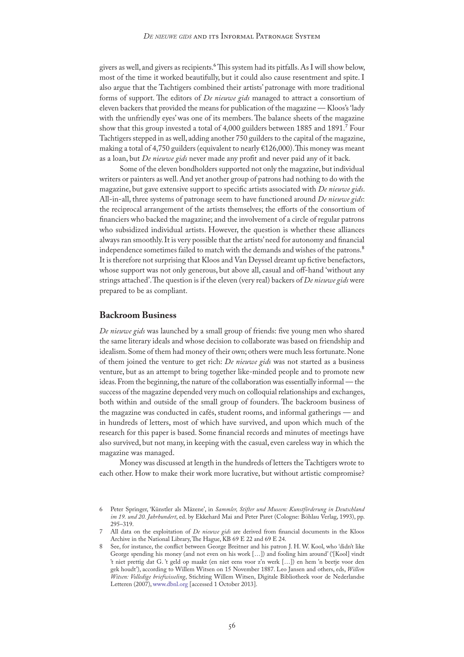givers as well, and givers as recipients.<sup>6</sup> This system had its pitfalls. As I will show below, most of the time it worked beautifully, but it could also cause resentment and spite. I also argue that the Tachtigers combined their artists' patronage with more traditional forms of support. The editors of *De nieuwe gids* managed to attract a consortium of eleven backers that provided the means for publication of the magazine — Kloos's 'lady with the unfriendly eyes' was one of its members. The balance sheets of the magazine show that this group invested a total of 4,000 guilders between 1885 and 1891.7 Four Tachtigers stepped in as well, adding another 750 guilders to the capital of the magazine, making a total of 4,750 guilders (equivalent to nearly €126,000). This money was meant as a loan, but *De nieuwe gids* never made any profit and never paid any of it back.

Some of the eleven bondholders supported not only the magazine, but individual writers or painters as well. And yet another group of patrons had nothing to do with the magazine, but gave extensive support to specific artists associated with *De nieuwe gids*. All-in-all, three systems of patronage seem to have functioned around *De nieuwe gids*: the reciprocal arrangement of the artists themselves; the efforts of the consortium of financiers who backed the magazine; and the involvement of a circle of regular patrons who subsidized individual artists. However, the question is whether these alliances always ran smoothly. It is very possible that the artists' need for autonomy and financial independence sometimes failed to match with the demands and wishes of the patrons.<sup>8</sup> It is therefore not surprising that Kloos and Van Deyssel dreamt up fictive benefactors, whose support was not only generous, but above all, casual and off-hand 'without any strings attached'. The question is if the eleven (very real) backers of *De nieuwe gids* were prepared to be as compliant.

## **Backroom Business**

*De nieuwe gids* was launched by a small group of friends: five young men who shared the same literary ideals and whose decision to collaborate was based on friendship and idealism. Some of them had money of their own; others were much less fortunate. None of them joined the venture to get rich: *De nieuwe gids* was not started as a business venture, but as an attempt to bring together like-minded people and to promote new ideas. From the beginning, the nature of the collaboration was essentially informal — the success of the magazine depended very much on colloquial relationships and exchanges, both within and outside of the small group of founders. The backroom business of the magazine was conducted in cafés, student rooms, and informal gatherings — and in hundreds of letters, most of which have survived, and upon which much of the research for this paper is based. Some financial records and minutes of meetings have also survived, but not many, in keeping with the casual, even careless way in which the magazine was managed.

Money was discussed at length in the hundreds of letters the Tachtigers wrote to each other. How to make their work more lucrative, but without artistic compromise?

<sup>6</sup> Peter Springer, 'Künstler als Mäzene', in *Sammler, Stifter und Museen: Kunstförderung in Deutschland im 19. und 20. Jahrhundert*, ed. by Ekkehard Mai and Peter Paret (Cologne: Böhlau Verlag, 1993), pp. 295–319.

<sup>7</sup> All data on the exploitation of *De nieuwe gids* are derived from financial documents in the Kloos Archive in the National Library, The Hague, KB 69 E 22 and 69 E 24.

<sup>8</sup> See, for instance, the conflict between George Breitner and his patron J. H. W. Kool, who 'didn't like George spending his money (and not even on his work […]) and fooling him around' ('[Kool] vindt 't niet prettig dat G. 't geld op maakt (en niet eens voor z'n werk […]) en hem 'n beetje voor den gek houdt'), according to Willem Witsen on 15 November 1887. Leo Jansen and others, eds, *Willem Witsen: Volledige briefwisseling*, Stichting Willem Witsen, Digitale Bibliotheek voor de Nederlandse Letteren (2007), [www.dbnl.org](http://www.dbnl.org/tekst/wits009brie01_01/) [accessed 1 October 2013].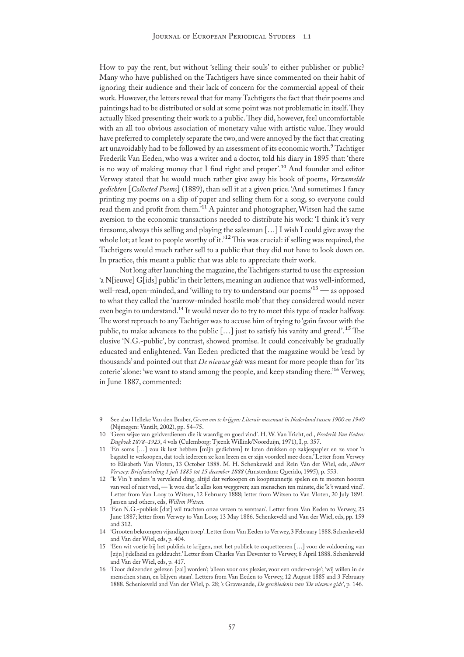How to pay the rent, but without 'selling their souls' to either publisher or public? Many who have published on the Tachtigers have since commented on their habit of ignoring their audience and their lack of concern for the commercial appeal of their work. However, the letters reveal that for many Tachtigers the fact that their poems and paintings had to be distributed or sold at some point was not problematic in itself. They actually liked presenting their work to a public. They did, however, feel uncomfortable with an all too obvious association of monetary value with artistic value. They would have preferred to completely separate the two, and were annoyed by the fact that creating art unavoidably had to be followed by an assessment of its economic worth.<sup>9</sup> Tachtiger Frederik Van Eeden, who was a writer and a doctor, told his diary in 1895 that: 'there is no way of making money that I find right and proper'.10 And founder and editor Verwey stated that he would much rather give away his book of poems, *Verzamelde gedichten* [*Collected Poems*] (1889), than sell it at a given price. 'And sometimes I fancy printing my poems on a slip of paper and selling them for a song, so everyone could read them and profit from them.'11 A painter and photographer, Witsen had the same aversion to the economic transactions needed to distribute his work: 'I think it's very tiresome, always this selling and playing the salesman […] I wish I could give away the whole lot; at least to people worthy of it.<sup>12</sup> This was crucial: if selling was required, the Tachtigers would much rather sell to a public that they did not have to look down on. In practice, this meant a public that was able to appreciate their work.

Not long after launching the magazine, the Tachtigers started to use the expression 'a N[ieuwe] G[ids] public' in their letters, meaning an audience that was well-informed, well-read, open-minded, and 'willing to try to understand our poems'<sup>13</sup> — as opposed to what they called the 'narrow-minded hostile mob' that they considered would never even begin to understand.<sup>14</sup> It would never do to try to meet this type of reader halfway. The worst reproach to any Tachtiger was to accuse him of trying to 'gain favour with the public, to make advances to the public [...] just to satisfy his vanity and greed'.<sup>15</sup> The elusive 'N.G.-public', by contrast, showed promise. It could conceivably be gradually educated and enlightened. Van Eeden predicted that the magazine would be 'read by thousands' and pointed out that *De nieuwe gids* was meant for more people than for 'its coterie' alone: 'we want to stand among the people, and keep standing there.'16 Verwey, in June 1887, commented:

9 See also Helleke Van den Braber, *Geven om te krijgen: Literair mecenaat in Nederland tussen 1900 en 1940* (Nijmegen: Vantilt, 2002), pp. 54–75.

- 11 'En soms […] zou ik lust hebben [mijn gedichten] te laten drukken op zakjespapier en ze voor 'n bagatel te verkoopen, dat toch iedereen ze kon lezen en er zijn voordeel mee doen.' Letter from Verwey to Elisabeth Van Vloten, 13 October 1888. M. H. Schenkeveld and Rein Van der Wiel, eds, *Albert Verwey: Briefwisseling 1 juli 1885 tot 15 december 1888* (Amsterdam: Querido, 1995), p. 553.
- 12 ''k Vin 't anders 'n vervelend ding, altijd dat verkoopen en koopmannetje spelen en te moeten hooren van veel of niet veel, — 'k wou dat 'k alles kon weggeven; aan menschen ten minste, die 'k 't waard vind'. Letter from Van Looy to Witsen, 12 February 1888; letter from Witsen to Van Vloten, 20 July 1891. Jansen and others, eds, *Willem Witsen.*
- 13 'Een N.G.-publiek [dat] wil trachten onze verzen te verstaan'. Letter from Van Eeden to Verwey, 23 June 1887; letter from Verwey to Van Looy, 13 May 1886. Schenkeveld and Van der Wiel, eds, pp. 159 and 312.
- 14 'Grooten bekrompen vijandigen troep'. Letter from Van Eeden to Verwey, 3 February 1888. Schenkeveld and Van der Wiel, eds, p. 404.
- 15 'Een wit voetje bij het publiek te krijgen, met het publiek te coquetteeren […] voor de voldoening van [zijn] ijdelheid en geldzucht.' Letter from Charles Van Deventer to Verwey, 8 April 1888. Schenkeveld and Van der Wiel, eds, p. 417.
- 16 'Door duizenden gelezen [zal] worden'; 'alleen voor ons plezier, voor een onder-onsje'; 'wij willen in de menschen staan, en blijven staan'. Letters from Van Eeden to Verwey, 12 August 1885 and 3 February 1888. Schenkeveld and Van der Wiel, p. 28; 's Gravesande, *De geschiedenis van 'De nieuwe gids'*, p. 146.

<sup>10</sup> 'Geen wijze van geldverdienen die ik waardig en goed vind'. H. W. Van Tricht, ed., *Frederik Van Eeden: Dagboek 1878–1923*, 4 vols (Culemborg: Tjeenk Willink/Noorduijn, 1971), I, p. 357.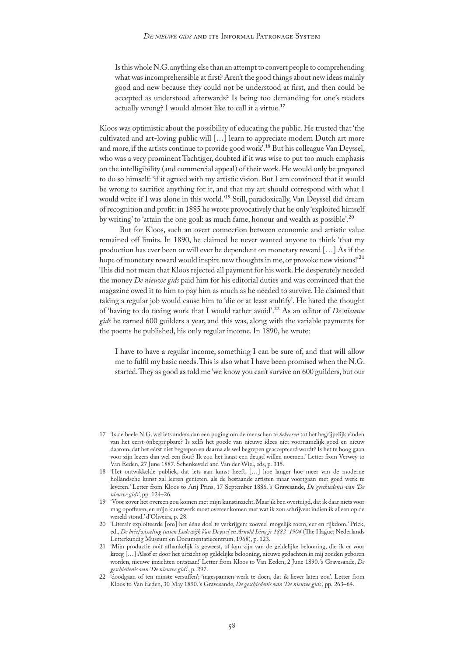Is this whole N.G. anything else than an attempt to convert people to comprehending what was incomprehensible at first? Aren't the good things about new ideas mainly good and new because they could not be understood at first, and then could be accepted as understood afterwards? Is being too demanding for one's readers actually wrong? I would almost like to call it a virtue.<sup>17</sup>

Kloos was optimistic about the possibility of educating the public. He trusted that 'the cultivated and art-loving public will […] learn to appreciate modern Dutch art more and more, if the artists continue to provide good work'.18 But his colleague Van Deyssel, who was a very prominent Tachtiger, doubted if it was wise to put too much emphasis on the intelligibility (and commercial appeal) of their work. He would only be prepared to do so himself: 'if it agreed with my artistic vision. But I am convinced that it would be wrong to sacrifice anything for it, and that my art should correspond with what I would write if I was alone in this world.'19 Still, paradoxically, Van Deyssel did dream of recognition and profit: in 1885 he wrote provocatively that he only 'exploited himself by writing' to 'attain the one goal: as much fame, honour and wealth as possible'*.*20

But for Kloos, such an overt connection between economic and artistic value remained off limits. In 1890, he claimed he never wanted anyone to think 'that my production has ever been or will ever be dependent on monetary reward […] As if the hope of monetary reward would inspire new thoughts in me, or provoke new visions!'<sup>21</sup> This did not mean that Kloos rejected all payment for his work. He desperately needed the money *De nieuwe gids* paid him for his editorial duties and was convinced that the magazine owed it to him to pay him as much as he needed to survive. He claimed that taking a regular job would cause him to 'die or at least stultify'. He hated the thought of 'having to do taxing work that I would rather avoid'.22 As an editor of *De nieuwe gids* he earned 600 guilders a year, and this was, along with the variable payments for the poems he published, his only regular income. In 1890, he wrote:

I have to have a regular income, something I can be sure of, and that will allow me to fulfil my basic needs. This is also what I have been promised when the N.G. started. They as good as told me 'we know you can't survive on 600 guilders, but our

<sup>17</sup> 'Is de heele N.G. wel iets anders dan een poging om de menschen te *bekeeren* tot het begrijpelijk vinden van het eerst-ónbegrijpbare? Is zelfs het goede van nieuwe idees niet voornamelijk goed en nieuw daarom, dat het eérst niet begrepen en daarna als wel begrepen geaccepteerd wordt? Is het te hoog gaan voor zijn lezers dan wel een fout? Ik zou het haast een deugd willen noemen.' Letter from Verwey to Van Eeden, 27 June 1887. Schenkeveld and Van der Wiel, eds, p. 315.

<sup>18</sup> 'Het ontwikkelde publiek, dat iets aan kunst heeft, […] hoe langer hoe meer van de moderne hollandsche kunst zal leeren genieten, als de bestaande artisten maar voortgaan met goed werk te leveren.' Letter from Kloos to Arij Prins, 17 September 1886. 's Gravesande, *De geschiedenis van 'De nieuwe gids'*, pp. 124–26.

<sup>19</sup> 'Voor zover het overeen zou komen met mijn kunstinzicht. Maar ik ben overtuigd, dat ik daar niets voor mag opofferen, en mijn kunstwerk moet overeenkomen met wat ik zou schrijven: indien ik alleen op de wereld stond.' d'Oliveira, p. 28.

<sup>20</sup> 'Literair exploiteerde [om] het ééne doel te verkrijgen: zooveel mogelijk roem, eer en rijkdom.' Prick, ed., *De briefwisseling tussen Lodewijk Van Deyssel en Arnold Ising jr 1883–1904* (The Hague: Nederlands Letterkundig Museum en Documentatiecentrum, 1968), p. 123.

<sup>21</sup> 'Mijn productie ooit afhankelijk is geweest, of kan zijn van de geldelijke belooning, die ik er voor kreeg […] Alsof er door het uitzicht op geldelijke belooning, nieuwe gedachten in mij zouden geboren worden, nieuwe inzichten ontstaan!' Letter from Kloos to Van Eeden, 2 June 1890. 's Gravesande, *De geschiedenis van 'De nieuwe gids*', p. 297.

<sup>22</sup> 'doodgaan of ten minste versuffen'; 'ingespannen werk te doen, dat ik liever laten zou'. Letter from Kloos to Van Eeden, 30 May 1890. 's Gravesande, *De geschiedenis van 'De nieuwe gids'*, pp. 263–64.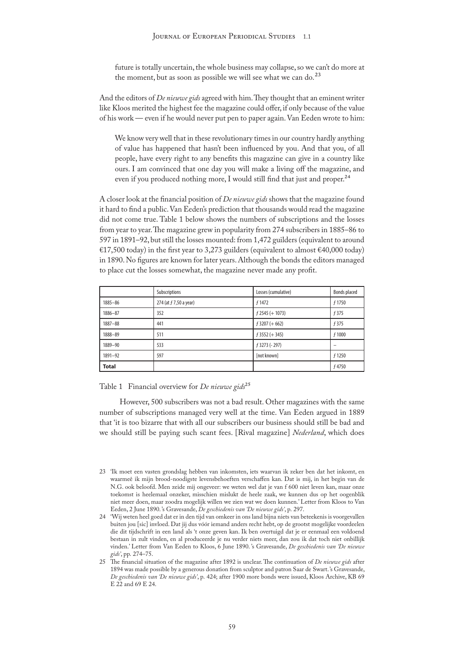future is totally uncertain, the whole business may collapse, so we can't do more at the moment, but as soon as possible we will see what we can do.<sup>23</sup>

And the editors of *De nieuwe gids* agreed with him. They thought that an eminent writer like Kloos merited the highest fee the magazine could offer, if only because of the value of his work — even if he would never put pen to paper again. Van Eeden wrote to him:

We know very well that in these revolutionary times in our country hardly anything of value has happened that hasn't been influenced by you. And that you, of all people, have every right to any benefits this magazine can give in a country like ours. I am convinced that one day you will make a living off the magazine, and even if you produced nothing more, I would still find that just and proper.<sup>24</sup>

A closer look at the financial position of *De nieuwe gids* shows that the magazine found it hard to find a public. Van Eeden's prediction that thousands would read the magazine did not come true. Table 1 below shows the numbers of subscriptions and the losses from year to year. The magazine grew in popularity from 274 subscribers in 1885–86 to 597 in 1891–92, but still the losses mounted: from 1,472 guilders (equivalent to around €17,500 today) in the first year to 3,273 guilders (equivalent to almost €40,000 today) in 1890. No figures are known for later years. Although the bonds the editors managed to place cut the losses somewhat, the magazine never made any profit.

|              | Subscriptions          | Losses (cumulative) | <b>Bonds placed</b> |
|--------------|------------------------|---------------------|---------------------|
| 1885-86      | 274 (at f 7,50 a year) | f 1472              | f 1750              |
| 1886-87      | 352                    | $f$ 2545 (+ 1073)   | f 375               |
| $1887 - 88$  | 441                    | $f$ 3207 (+662)     | f 375               |
| 1888-89      | 511                    | $f$ 3552 (+345)     | f 1000              |
| 1889-90      | 533                    | f 3273 (- 297)      |                     |
| 1891-92      | 597                    | [not known]         | f 1250              |
| <b>Total</b> |                        |                     | f 4750              |

Table 1 Financial overview for *De nieuwe gids*25

However, 500 subscribers was not a bad result. Other magazines with the same number of subscriptions managed very well at the time. Van Eeden argued in 1889 that 'it is too bizarre that with all our subscribers our business should still be bad and we should still be paying such scant fees. [Rival magazine] *Nederland*, which does

<sup>23</sup> 'Ik moet een vasten grondslag hebben van inkomsten, iets waarvan ik zeker ben dat het inkomt, en waarmeê ik mijn brood-noodigste levensbehoeften verschaffen kan. Dat is mij, in het begin van de N.G. ook beloofd. Men zeide mij ongeveer: we weten wel dat je van f 600 niet leven kan, maar onze toekomst is heelemaal onzeker, misschien mislukt de heele zaak, we kunnen dus op het oogenblik niet meer doen, maar zoodra mogelijk willen we zien wat we doen kunnen.' Letter from Kloos to Van Eeden, 2 June 1890. 's Gravesande, *De geschiedenis van 'De nieuwe gids'*, p. 297.

<sup>24</sup> 'Wij weten heel goed dat er in den tijd van omkeer in ons land bijna niets van beteekenis is voorgevallen buiten jou [sic] invloed. Dat jij dus vóór iemand anders recht hebt, op de grootst mogelijke voordeelen die dit tijdschrift in een land als 't onze geven kan. Ik ben overtuigd dat je er eenmaal een voldoend bestaan in zult vinden, en al produceerde je nu verder niets meer, dan zou ik dat toch niet onbillijk vinden.' Letter from Van Eeden to Kloos, 6 June 1890. 's Gravesande, *De geschiedenis van 'De nieuwe gids'*, pp. 274–75.

<sup>25</sup> The financial situation of the magazine after 1892 is unclear. The continuation of *De nieuwe gids* after 1894 was made possible by a generous donation from sculptor and patron Saar de Swart. 's Gravesande, *De geschiedenis van 'De nieuwe gids'*, p. 424; after 1900 more bonds were issued, Kloos Archive, KB 69 E 22 and 69 E 24.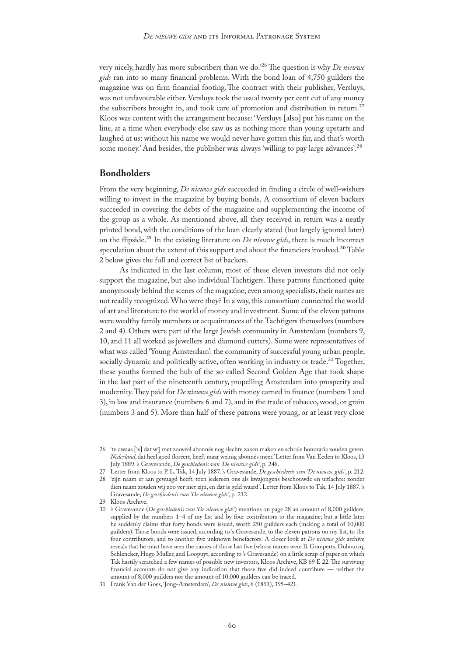very nicely, hardly has more subscribers than we do.'26 The question is why *De nieuwe gids* ran into so many financial problems. With the bond loan of 4,750 guilders the magazine was on firm financial footing.The contract with their publisher, Versluys, was not unfavourable either. Versluys took the usual twenty per cent cut of any money the subscribers brought in, and took care of promotion and distribution in return.<sup>27</sup> Kloos was content with the arrangement because: 'Versluys [also] put his name on the line, at a time when everybody else saw us as nothing more than young upstarts and laughed at us: without his name we would never have gotten this far, and that's worth some money.' And besides, the publisher was always 'willing to pay large advances'.<sup>28</sup>

# **Bondholders**

From the very beginning, *De nieuwe gids* succeeded in finding a circle of well-wishers willing to invest in the magazine by buying bonds. A consortium of eleven backers succeeded in covering the debts of the magazine and supplementing the income of the group as a whole. As mentioned above, all they received in return was a neatly printed bond, with the conditions of the loan clearly stated (but largely ignored later) on the flipside.29 In the existing literature on *De nieuwe gids*, there is much incorrect speculation about the extent of this support and about the financiers involved.<sup>30</sup> Table 2 below gives the full and correct list of backers.

As indicated in the last column, most of these eleven investors did not only support the magazine, but also individual Tachtigers. These patrons functioned quite anonymously behind the scenes of the magazine; even among specialists, their names are not readily recognized. Who were they? In a way, this consortium connected the world of art and literature to the world of money and investment. Some of the eleven patrons were wealthy family members or acquaintances of the Tachtigers themselves (numbers 2 and 4). Others were part of the large Jewish community in Amsterdam (numbers 9, 10, and 11 all worked as jewellers and diamond cutters). Some were representatives of what was called 'Young Amsterdam': the community of successful young urban people, socially dynamic and politically active, often working in industry or trade.<sup>31</sup> Together, these youths formed the hub of the so-called Second Golden Age that took shape in the last part of the nineteenth century, propelling Amsterdam into prosperity and modernity. They paid for *De nieuwe gids* with money earned in finance (numbers 1 and 3), in law and insurance (numbers 6 and 7), and in the trade of tobacco, wood, or grain (numbers 3 and 5). More than half of these patrons were young, or at least very close

- 27 Letter from Kloos to P. L. Tak, 14 July 1887. 's Gravesande, *De geschiedenis van 'De nieuwe gids'*, p. 212.
- 28 'zijn naam er aan gewaagd heeft, toen iedereen ons als kwajongens beschouwde en uitlachte: zonder dien naam zouden wij zoo ver niet zijn, en dat is geld waard'. Letter from Kloos to Tak, 14 July 1887. 's Gravesande, *De geschiedenis van 'De nieuwe gids'*, p. 212.
- 29 Kloos Archive.
- 30 's Gravesande (*De geschiedenis van 'De nieuwe gids'*) mentions on page 28 an amount of 8,000 guilders, supplied by the numbers 1–4 of my list and by four contributors to the magazine; but a little later he suddenly claims that forty bonds were issued, worth 250 guilders each (making a total of 10,000 guilders). Those bonds were issued, according to 's Gravesande, to the eleven patrons on my list, to the four contributors, and to another five unknown benefactors. A closer look at *De nieuwe gids* archive reveals that he must have seen the names of those last five (whose names were B. Gomperts, Dubourcq, Schlencker, Hugo Muller, and Loopuyt, according to 's Gravesande) on a little scrap of paper on which Tak hastily scratched a few names of possible new investors, Kloos Archive, KB 69 E 22. The surviving financial accounts do not give any indication that those five did indeed contribute — neither the amount of 8,000 guilders nor the amount of 10,000 guilders can be traced.

<sup>26</sup> 'te dwaas [is] dat wij met zooveel abonnés nog slechte zaken maken en schrale honoraria zouden geven. *Nederland*, dat heel goed floreert, heeft maar weinig abonnés meer.' Letter from Van Eeden to Kloos, 13 July 1889. 's Gravesande, *De geschiedenis van 'De nieuwe gids'*, p. 246.

<sup>31</sup> Frank Van der Goes, 'Jong-Amsterdam', *De nieuwe gids*, 6 (1891), 395–421.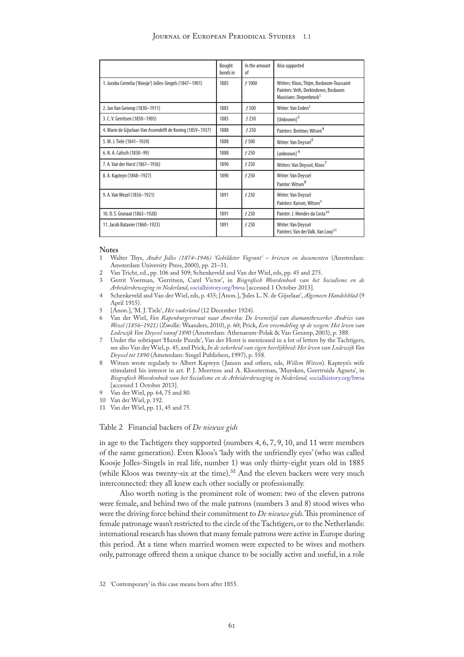|                                                            | Bought<br>bonds in | In the amount<br>0f | Also supported                                                                                                          |
|------------------------------------------------------------|--------------------|---------------------|-------------------------------------------------------------------------------------------------------------------------|
| 1. Jacoba Cornelia ('Koosje') Jolles-Singels (1847-1901)   | 1885               | f 1000              | Writers: Kloos, Thijm, Bosboom-Toussaint<br>Painters: Veth, Derkinderen, Bosboom<br>Musicians: Diepenbrock <sup>1</sup> |
| 2. Jan Van Gennep (1830-1911)                              | 1885               | f 500               | Writer: Van Eeden <sup>2</sup>                                                                                          |
| 3. C. V. Gerritsen (1850-1905)                             | 1885               | f 250               | $[Unknown]$ <sup>3</sup>                                                                                                |
| 4. Marie de Gijselaar-Van Assendelft de Koning (1859-1937) | 1888               | f250                | Painters: Breitner, Witsen <sup>4</sup>                                                                                 |
| 5. M. J. Tiele (1841-1924)                                 | 1888               | f 500               | Writer: Van Deyssel <sup>5</sup>                                                                                        |
| 6. N. A. Calisch (1858-99)                                 | 1888               | f 250               | [unknown] <sup>6</sup>                                                                                                  |
| 7. A. Van der Horst (1861-1936)                            | 1890               | f 250               | Writers: Van Deyssel, Kloos <sup>7</sup>                                                                                |
| 8. A. Kapteyn (1848-1927)                                  | 1890               | f 250               | Writer: Van Deyssel<br>Painter: Witsen <sup>8</sup>                                                                     |
| 9. A. Van Wezel (1856-1921)                                | 1891               | f 250               | Writer: Van Deyssel<br>Painters: Karsen, Witsen <sup>9</sup>                                                            |
| 10. D. S. Granaat (1863-1928)                              | 1891               | f 250               | Painter: J. Mendes da Costa <sup>10</sup>                                                                               |
| 11. Jacob Batavier (1860-1923)                             | 1891               | f 250               | Writer: Van Deyssel<br>Painters: Van der Valk, Van Looy <sup>11</sup>                                                   |

#### **Notes**

- 1 Walter Thys, *André Jolles (1874–1946) 'Gebildeter Vagrant' brieven en documenten* (Amsterdam: Amsterdam University Press, 2000), pp. 21–31.
- 2 Van Tricht, ed., pp. 106 and 509; Schenkeveld and Van der Wiel, eds, pp. 45 and 275.<br>3 Gerrit Voerman 'Gerritsen, Carel Victor', in *Biografisch Woordenboek stan, het*
- 3 Gerrit Voerman, 'Gerritsen, Carel Victor', in *Biografisch Woordenboek van het Socialisme en de Arbeidersbeweging in Nederland*, [socialhistory.org/bwsa](http://socialhistory.org/bwsa) [accessed 1 October 2013].
- 4 Schenkeveld and Van der Wiel, eds, p. 435; [Anon.], 'Jules L. N. de Gijselaar', *Algemeen Handelsblad* (9 April 1915).

5 [Anon.], 'M. J. Tiele', *Het vaderland* (12 December 1924).

- 6 Van der Wiel, *Van Rapenburgerstraat naar Amerika: De levenstijd van diamantbewerker Andries van Wezel (1856–1921)* (Zwolle: Waanders, 2010), p. 60; Prick, *Een vreemdeling op de wegen: Het leven van Lodewijk Van Deyssel vanaf 1890* (Amsterdam: Athenaeum-Polak & Van Gennep, 2003), p. 388.
- Under the sobriquet 'Huzzle Puzzle', Van der Horst is mentioned in a lot of letters by the Tachtigers; see also Van der Wiel, p. 45, and Prick, *In de zekerheid van eigen heerlijkheid: Het leven van Lodewijk Van Deyssel tot 1890* (Amsterdam: Singel Publishers, 1997), p. 558.
- 8 Witsen wrote regularly to Albert Kapteyn ( Jansen and others, eds, *Willem Witsen*). Kapteyn's wife stimulated his interest in art. P. J. Meertens and A. Kloosterman, 'Muysken, Geertruida Agneta', in *Biografisch Woordenboek van het Socialisme en de Arbeidersbeweging in Nederland,* [socialhistory.org/bwsa](http://socialhistory.org/bwsa/) [accessed 1 October 2013].
- 9 Van der Wiel, pp. 64, 75 and 80.
- 10 Van der Wiel, p. 192.
- 11 Van der Wiel, pp. 11, 45 and 75.

### Table 2 Financial backers of *De nieuwe gids*

in age to the Tachtigers they supported (numbers 4, 6, 7, 9, 10, and 11 were members of the same generation). Even Kloos's 'lady with the unfriendly eyes' (who was called Koosje Jolles-Singels in real life, number 1) was only thirty-eight years old in 1885 (while Kloos was twenty-six at the time).<sup>32</sup> And the eleven backers were very much interconnected: they all knew each other socially or professionally.

Also worth noting is the prominent role of women: two of the eleven patrons were female, and behind two of the male patrons (numbers 3 and 8) stood wives who were the driving force behind their commitment to *De nieuwe gids*. This prominence of female patronage wasn't restricted to the circle of the Tachtigers, or to the Netherlands: international research has shown that many female patrons were active in Europe during this period. At a time when married women were expected to be wives and mothers only, patronage offered them a unique chance to be socially active and useful, in a role

<sup>32</sup> 'Contemporary' in this case means born after 1855.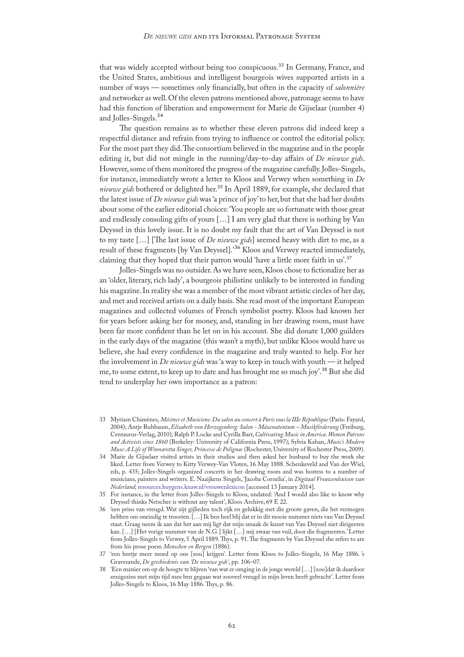that was widely accepted without being too conspicuous.<sup>33</sup> In Germany, France, and the United States, ambitious and intelligent bourgeois wives supported artists in a number of ways — sometimes only financially, but often in the capacity of *salonnière* and networker as well. Of the eleven patrons mentioned above, patronage seems to have had this function of liberation and empowerment for Marie de Gijselaar (number 4) and Jolles-Singels.34

The question remains as to whether these eleven patrons did indeed keep a respectful distance and refrain from trying to influence or control the editorial policy. For the most part they did. The consortium believed in the magazine and in the people editing it, but did not mingle in the running/day-to-day affairs of *De nieuwe gids*. However, some of them monitored the progress of the magazine carefully. Jolles-Singels, for instance, immediately wrote a letter to Kloos and Verwey when something in *De nieuwe gids* bothered or delighted her.35 In April 1889, for example, she declared that the latest issue of *De nieuwe gids* was 'a prince of joy' to her, but that she had her doubts about some of the earlier editorial choices: 'You people are so fortunate with those great and endlessly consoling gifts of yours […] I am very glad that there is nothing by Van Deyssel in this lovely issue. It is no doubt my fault that the art of Van Deyssel is not to my taste […] [The last issue of *De nieuwe gids*] seemed heavy with dirt to me, as a result of these fragments [by Van Deyssel].'36 Kloos and Verwey reacted immediately, claiming that they hoped that their patron would 'have a little more faith in us'.37

Jolles-Singels was no outsider. As we have seen, Kloos chose to fictionalize her as an 'older, literary, rich lady', a bourgeois philistine unlikely to be interested in funding his magazine. In reality she was a member of the most vibrant artistic circles of her day, and met and received artists on a daily basis. She read most of the important European magazines and collected volumes of French symbolist poetry. Kloos had known her for years before asking her for money, and, standing in her drawing room, must have been far more confident than he let on in his account. She did donate 1,000 guilders in the early days of the magazine (this wasn't a myth), but unlike Kloos would have us believe, she had every confidence in the magazine and truly wanted to help. For her the involvement in *De nieuwe gids* was 'a way to keep in touch with youth — it helped me, to some extent, to keep up to date and has brought me so much joy'.38 But she did tend to underplay her own importance as a patron:

- 33 Myriam Chimènes, *Mécènes et Musiciens: Du salon au concert à Paris sous la IIIe République* (Paris: Fayard, 2004); Antje Ruhbaum, *Elisabeth von Herzogenberg: Salon - Mäzenatentum – Musikförderung* (Freiburg, Centaurus-Verlag, 2010); Ralph P. Locke and Cyrilla Barr, *Cultivating Music in America*. *Women Patrons and Activists since 1860* (Berkeley: University of California Press, 1997); Sylvia Kahan, *Music's Modern Muse: A Life of Winnaretta Singer, Princesse de Polignac* (Rochester, University of Rochester Press, 2009).
- 34 Marie de Gijselaer visited artists in their studios and then asked her husband to buy the work she liked. Letter from Verwey to Kitty Verwey-Van Vloten, 16 May 1888. Schenkeveld and Van der Wiel, eds, p. 435; Jolles-Singels organized concerts in her drawing room and was hostess to a number of musicians, painters and writers. E. Naaijkens Singels, 'Jacoba Cornelia', in *Digitaal Vrouwenlexicon van Nederland,* [resources.huygens.knaw.nl/vrouwenlexicon](http://resources.huygens.knaw.nl/vrouwenlexicon/lemmata/data/Jolles) [accessed 13 January 2014].
- 35 For instance, in the letter from Jolles-Singels to Kloos, undated: 'And I would also like to know why Deyssel thinks Netscher is without any talent', Kloos Archive, 69 E 22.
- 36 'een prins van vreugd. Wat zijt gijlieden toch rijk en gelukkig met die groote gaven, die het vermogen hebben om oneindig te troosten. […] Ik ben heel blij dat er in dit mooie nummer niets van Van Deyssel staat. Graag neem ik aan dat het aan mij ligt dat mijn smaak de kunst van Van Deyssel niet dirigeeren kan. […] [Het vorige nummer van de N.G*.*] lijkt […] mij zwaar van vuil, door die fragmenten.' Letter from Jolles-Singels to Verwey, 5 April 1889. Thys, p. 91. The fragments by Van Deyssel she refers to are from his prose poem *Menschen en Bergen* (1886).
- 37 'een beetje meer moed op ons [zou] krijgen'. Letter from Kloos to Jolles-Singels, 16 May 1886. 's Gravesande, *De geschiedenis van 'De nieuwe gids'*, pp. 106–07.
- 38 'Een manier om op de hoogte te blijven 'van wat er omging in de jonge wereld […] [zoo]dat ik daardoor eenigszins met mijn tijd mee ben gegaan wat zooveel vreugd in mijn leven heeft gebracht'. Letter from Jolles-Singels to Kloos, 16 May 1886. Thys, p. 86.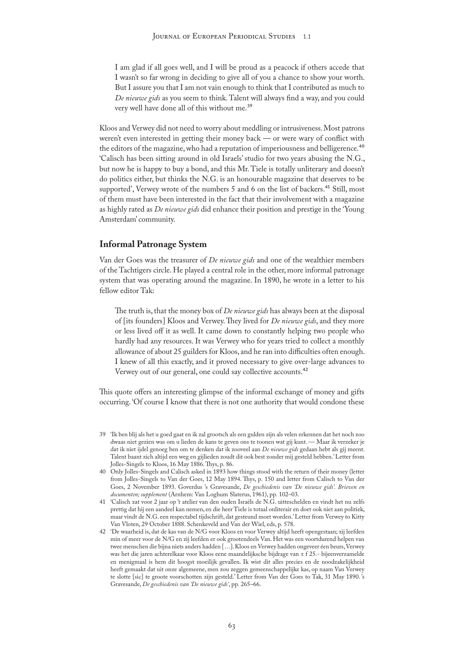I am glad if all goes well, and I will be proud as a peacock if others accede that I wasn't so far wrong in deciding to give all of you a chance to show your worth. But I assure you that I am not vain enough to think that I contributed as much to *De nieuwe gids* as you seem to think. Talent will always find a way, and you could very well have done all of this without me.39

Kloos and Verwey did not need to worry about meddling or intrusiveness. Most patrons weren't even interested in getting their money back — or were wary of conflict with the editors of the magazine, who had a reputation of imperiousness and belligerence.<sup>40</sup> 'Calisch has been sitting around in old Israels' studio for two years abusing the N.G., but now he is happy to buy a bond, and this Mr. Tiele is totally unliterary and doesn't do politics either, but thinks the N.G. is an honourable magazine that deserves to be supported', Verwey wrote of the numbers 5 and 6 on the list of backers.<sup>41</sup> Still, most of them must have been interested in the fact that their involvement with a magazine as highly rated as *De nieuwe gids* did enhance their position and prestige in the 'Young Amsterdam' community.

# **Informal Patronage System**

Van der Goes was the treasurer of *De nieuwe gids* and one of the wealthier members of the Tachtigers circle. He played a central role in the other, more informal patronage system that was operating around the magazine. In 1890, he wrote in a letter to his fellow editor Tak:

The truth is, that the money box of *De nieuwe gids* has always been at the disposal of [its founders] Kloos and Verwey. They lived for *De nieuwe gids*, and they more or less lived off it as well. It came down to constantly helping two people who hardly had any resources. It was Verwey who for years tried to collect a monthly allowance of about 25 guilders for Kloos, and he ran into difficulties often enough. I knew of all this exactly, and it proved necessary to give over-large advances to Verwey out of our general, one could say collective accounts.42

This quote offers an interesting glimpse of the informal exchange of money and gifts occurring. 'Of course I know that there is not one authority that would condone these

- 39 'Ik ben blij als het u goed gaat en ik zal grootsch als een gulden zijn als velen erkennen dat het noch zoo dwaas niet gezien was om u lieden de kans te geven ons te toonen wat gij kunt. — Maar ik verzeker je dat ik niet ijdel genoeg ben om te denken dat ik zooveel aan *De nieuwe gids* gedaan hebt als gij meent. Talent baant zich altijd een weg en gijlieden zoudt dit ook best zonder mij gesteld hebben.' Letter from Jolles-Singels to Kloos, 16 May 1886. Thys, p. 86.
- 40 Only Jolles-Singels and Calisch asked in 1893 how things stood with the return of their money (letter from Jolles-Singels to Van der Goes, 12 May 1894. Thys, p. 150 and letter from Calisch to Van der Goes, 2 November 1893. Goverdus 's Gravesande, *De geschiedenis van 'De nieuwe gids'. Brieven en documenten; supplement* (Arnhem: Van Loghum Slaterus, 1961), pp. 102–03.
- 41 'Calisch zat voor 2 jaar op 't atelier van den ouden Israëls de N.G. uitteschelden en vindt het nu zelfs prettig dat hij een aandeel kan nemen, en die heer Tiele is totaal onliterair en doet ook niet aan politiek, maar vindt de N.G. een respectabel tijdschrift, dat gesteund moet worden.' Letter from Verwey to Kitty Van Vloten, 29 October 1888. Schenkeveld and Van der Wiel, eds, p. 578.
- 42 'De waarheid is, dat de kas van de N/G voor Kloos en voor Verwey altijd heeft opengestaan; zij leefden min of meer voor de N/G en zij leefden er ook grootendeels Van. Het was een voortdurend helpen van twee menschen die bijna niets anders hadden […]. Kloos en Verwey hadden ongeveer éen beurs, Verwey was het die jaren achterelkaar voor Kloos eene maandelijksche bijdrage van ± f 25.- bijeenverzamelde en menigmaal is hem dit hoogst moeilijk gevallen. Ik wist dit alles precies en de noodzakelijkheid heeft gemaakt dat uit onze algemeene, men zou zeggen gemeenschappelijke kas, op naam Van Verwey te slotte [sic] te groote voorschotten zijn gesteld.' Letter from Van der Goes to Tak, 31 May 1890. 's Gravesande, *De geschiedenis van 'De nieuwe gids'*, pp. 265–66.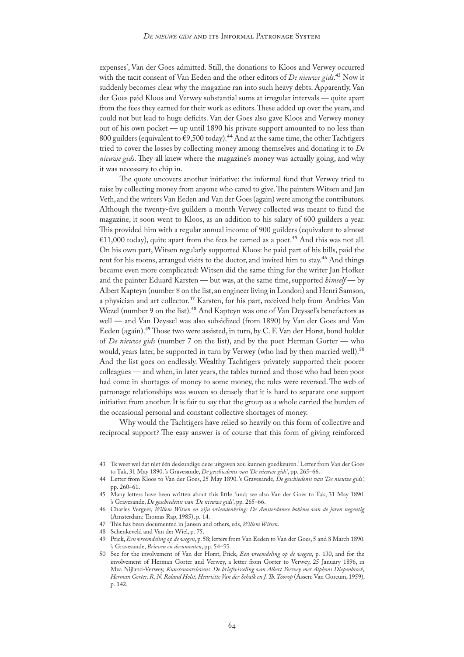expenses', Van der Goes admitted. Still, the donations to Kloos and Verwey occurred with the tacit consent of Van Eeden and the other editors of *De nieuwe gids*.43 Now it suddenly becomes clear why the magazine ran into such heavy debts. Apparently, Van der Goes paid Kloos and Verwey substantial sums at irregular intervals — quite apart from the fees they earned for their work as editors. These added up over the years, and could not but lead to huge deficits. Van der Goes also gave Kloos and Verwey money out of his own pocket — up until 1890 his private support amounted to no less than 800 guilders (equivalent to  $\epsilon$ 9,500 today).<sup>44</sup> And at the same time, the other Tachtigers tried to cover the losses by collecting money among themselves and donating it to *De nieuwe gids*. They all knew where the magazine's money was actually going, and why it was necessary to chip in.

The quote uncovers another initiative: the informal fund that Verwey tried to raise by collecting money from anyone who cared to give. The painters Witsen and Jan Veth, and the writers Van Eeden and Van der Goes (again) were among the contributors. Although the twenty-five guilders a month Verwey collected was meant to fund the magazine, it soon went to Kloos, as an addition to his salary of 600 guilders a year. This provided him with a regular annual income of 900 guilders (equivalent to almost €11,000 today), quite apart from the fees he earned as a poet.<sup>45</sup> And this was not all. On his own part, Witsen regularly supported Kloos: he paid part of his bills, paid the rent for his rooms, arranged visits to the doctor, and invited him to stay.<sup>46</sup> And things became even more complicated: Witsen did the same thing for the writer Jan Hofker and the painter Eduard Karsten — but was, at the same time, supported *himself* — by Albert Kapteyn (number 8 on the list, an engineer living in London) and Henri Samson, a physician and art collector.<sup>47</sup> Karsten, for his part, received help from Andries Van Wezel (number 9 on the list).<sup>48</sup> And Kapteyn was one of Van Deyssel's benefactors as well — and Van Deyssel was also subsidized (from 1890) by Van der Goes and Van Eeden (again).49 Those two were assisted, in turn, by C. F. Van der Horst, bond holder of *De nieuwe gids* (number 7 on the list), and by the poet Herman Gorter — who would, years later, be supported in turn by Verwey (who had by then married well).<sup>50</sup> And the list goes on endlessly. Wealthy Tachtigers privately supported their poorer colleagues — and when, in later years, the tables turned and those who had been poor had come in shortages of money to some money, the roles were reversed. The web of patronage relationships was woven so densely that it is hard to separate one support initiative from another. It is fair to say that the group as a whole carried the burden of the occasional personal and constant collective shortages of money.

Why would the Tachtigers have relied so heavily on this form of collective and reciprocal support? The easy answer is of course that this form of giving reinforced

44 Letter from Kloos to Van der Goes, 25 May 1890. 's Gravesande, *De geschiedenis van 'De nieuwe gids'*, pp. 260–61.

<sup>43</sup> 'Ik weet wel dat niet één deskundige deze uitgaven zou kunnen goedkeuren.' Letter from Van der Goes to Tak, 31 May 1890. 's Gravesande, *De geschiedenis van 'De nieuwe gids'*, pp. 265–66.

<sup>45</sup> Many letters have been written about this little fund; see also Van der Goes to Tak, 31 May 1890. 's Gravesande, *De geschiedenis van 'De nieuwe gids'*, pp. 265–66.

<sup>46</sup> Charles Vergeer, *Willem Witsen en zijn vriendenkring: De Amsterdamse bohème van de jaren negentig* (Amsterdam: Thomas Rap, 1985), p. 14.

<sup>47</sup> This has been documented in Jansen and others, eds, *Willem Witsen*.

<sup>48</sup> Schenkeveld and Van der Wiel, p. 75.

<sup>49</sup> Prick, *Een vreemdeling op de wegen*, p. 58; letters from Van Eeden to Van der Goes, 5 and 8 March 1890. 's Gravesande, *Brieven en documenten*, pp. 54–55.

<sup>50</sup> See for the involvement of Van der Horst, Prick, *Een vreemdeling op de wegen*, p. 130, and for the involvement of Herman Gorter and Verwey, a letter from Gorter to Verwey, 25 January 1896, in Mea Nijland-Verwey, *Kunstenaarslevens: De briefwisseling van Albert Verwey met Alphons Diepenbrock,*  Herman Gorter, R. N. Roland Holst, Henriëtte Van der Schalk en J. Th. Toorop (Assen: Van Gorcum, 1959), p. 142.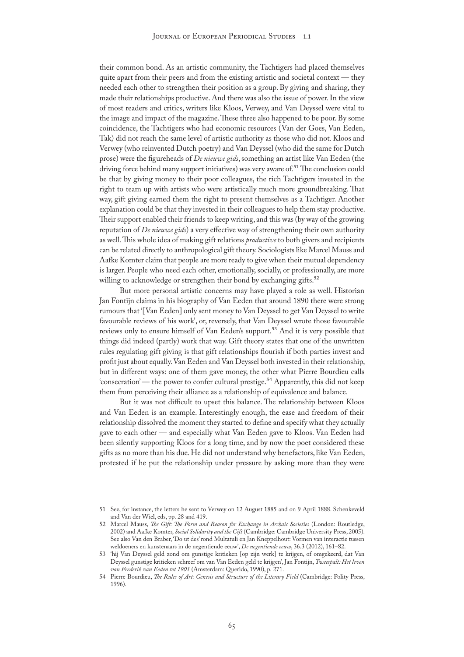their common bond. As an artistic community, the Tachtigers had placed themselves quite apart from their peers and from the existing artistic and societal context — they needed each other to strengthen their position as a group. By giving and sharing, they made their relationships productive. And there was also the issue of power. In the view of most readers and critics, writers like Kloos, Verwey, and Van Deyssel were vital to the image and impact of the magazine. These three also happened to be poor. By some coincidence, the Tachtigers who had economic resources (Van der Goes, Van Eeden, Tak) did not reach the same level of artistic authority as those who did not. Kloos and Verwey (who reinvented Dutch poetry) and Van Deyssel (who did the same for Dutch prose) were the figureheads of *De nieuwe gids*, something an artist like Van Eeden (the driving force behind many support initiatives) was very aware of.<sup>51</sup> The conclusion could be that by giving money to their poor colleagues, the rich Tachtigers invested in the right to team up with artists who were artistically much more groundbreaking. That way, gift giving earned them the right to present themselves as a Tachtiger. Another explanation could be that they invested in their colleagues to help them stay productive. Their support enabled their friends to keep writing, and this was (by way of the growing reputation of *De nieuwe gids*) a very effective way of strengthening their own authority as well. This whole idea of making gift relations *productive* to both givers and recipients can be related directly to anthropological gift theory. Sociologists like Marcel Mauss and Aafke Komter claim that people are more ready to give when their mutual dependency is larger. People who need each other, emotionally, socially, or professionally, are more willing to acknowledge or strengthen their bond by exchanging gifts.<sup>52</sup>

But more personal artistic concerns may have played a role as well. Historian Jan Fontijn claims in his biography of Van Eeden that around 1890 there were strong rumours that '[Van Eeden] only sent money to Van Deyssel to get Van Deyssel to write favourable reviews of his work', or, reversely, that Van Deyssel wrote those favourable reviews only to ensure himself of Van Eeden's support.<sup>53</sup> And it is very possible that things did indeed (partly) work that way. Gift theory states that one of the unwritten rules regulating gift giving is that gift relationships flourish if both parties invest and profit just about equally. Van Eeden and Van Deyssel both invested in their relationship, but in different ways: one of them gave money, the other what Pierre Bourdieu calls 'consecration' — the power to confer cultural prestige.<sup>54</sup> Apparently, this did not keep them from perceiving their alliance as a relationship of equivalence and balance.

But it was not difficult to upset this balance. The relationship between Kloos and Van Eeden is an example. Interestingly enough, the ease and freedom of their relationship dissolved the moment they started to define and specify what they actually gave to each other — and especially what Van Eeden gave to Kloos. Van Eeden had been silently supporting Kloos for a long time, and by now the poet considered these gifts as no more than his due. He did not understand why benefactors, like Van Eeden, protested if he put the relationship under pressure by asking more than they were

<sup>51</sup> See, for instance, the letters he sent to Verwey on 12 August 1885 and on 9 April 1888. Schenkeveld and Van der Wiel, eds, pp. 28 and 419.

<sup>52</sup> Marcel Mauss, *The Gift: The Form and Reason for Exchange in Archaic Societies* (London: Routledge, 2002) and Aafke Komter, *Social Solidarity and the Gift* (Cambridge: Cambridge University Press, 2005). See also Van den Braber, 'Do ut des' rond Multatuli en Jan Kneppelhout: Vormen van interactie tussen weldoeners en kunstenaars in de negentiende eeuw', *De negentiende eeuw*, 36.3 (2012), 161–82.

<sup>53</sup> 'hij Van Deyssel geld zond om gunstige kritieken [op zijn werk] te krijgen, of omgekeerd, dat Van Deyssel gunstige kritieken schreef om van Van Eeden geld te krijgen', Jan Fontijn, *Tweespalt: Het leven van Frederik van Eeden tot 1901* (Amsterdam: Querido, 1990), p. 271.

<sup>54</sup> Pierre Bourdieu, *The Rules of Art: Genesis and Structure of the Literary Field* (Cambridge: Polity Press, 1996).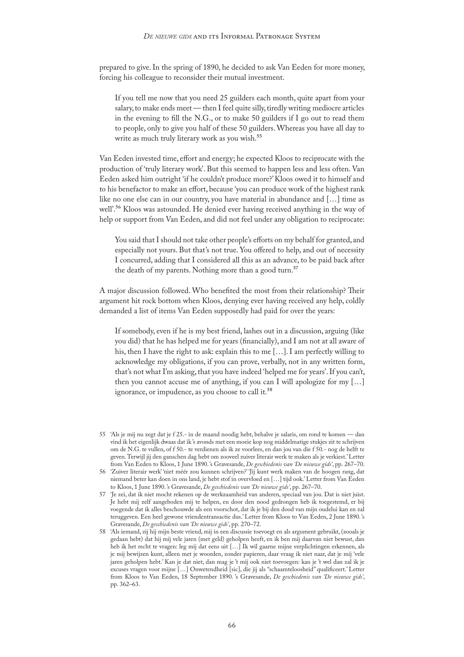prepared to give. In the spring of 1890, he decided to ask Van Eeden for more money, forcing his colleague to reconsider their mutual investment.

If you tell me now that you need 25 guilders each month, quite apart from your salary, to make ends meet — then I feel quite silly, tiredly writing mediocre articles in the evening to fill the N.G., or to make 50 guilders if I go out to read them to people, only to give you half of these 50 guilders. Whereas you have all day to write as much truly literary work as you wish.<sup>55</sup>

Van Eeden invested time, effort and energy; he expected Kloos to reciprocate with the production of 'truly literary work'. But this seemed to happen less and less often. Van Eeden asked him outright 'if he couldn't produce more?' Kloos owed it to himself and to his benefactor to make an effort, because 'you can produce work of the highest rank like no one else can in our country, you have material in abundance and […] time as well'.56 Kloos was astounded. He denied ever having received anything in the way of help or support from Van Eeden, and did not feel under any obligation to reciprocate:

You said that I should not take other people's efforts on my behalf for granted, and especially not yours. But that's not true. You offered to help, and out of necessity I concurred, adding that I considered all this as an advance, to be paid back after the death of my parents. Nothing more than a good turn.<sup>57</sup>

A major discussion followed. Who benefited the most from their relationship? Their argument hit rock bottom when Kloos, denying ever having received any help, coldly demanded a list of items Van Eeden supposedly had paid for over the years:

If somebody, even if he is my best friend, lashes out in a discussion, arguing (like you did) that he has helped me for years (financially), and I am not at all aware of his, then I have the right to ask: explain this to me […]. I am perfectly willing to acknowledge my obligations, if you can prove, verbally, not in any written form, that's not what I'm asking, that you have indeed 'helped me for years'. If you can't, then you cannot accuse me of anything, if you can I will apologize for my […] ignorance, or impudence, as you choose to call it.<sup>58</sup>

- 55 'Als je mij nu zegt dat je f 25.- in de maand noodig hebt, behalve je salaris, om rond te komen dan vind ik het eigenlijk dwaas dat ik 's avonds met een moeie kop nog middelmatige stukjes zit te schrijven om de N.G. te vullen, of f 50.- te verdienen als ik ze voorlees, en dan jou van die f 50.- nog de helft te geven. Terwijl jij den ganschen dag hebt om zooveel zuiver literair werk te maken als je verkiest.' Letter from Van Eeden to Kloos, 1 June 1890. 's Gravesande, *De geschiedenis van 'De nieuwe gids'*, pp. 267–70.
- 56 'Zuiver literair werk' 'niet méér zou kunnen schrijven?' 'Jij kunt werk maken van de hoogen rang, dat niemand beter kan doen in ons land, je hebt stof in overvloed en […] tijd ook.' Letter from Van Eeden to Kloos, 1 June 1890. 's Gravesande, *De geschiedenis van 'De nieuwe gids'*, pp. 267–70.
- 57 'Je zei, dat ik niet mocht rekenen op de werkzaamheid van anderen, speciaal van jou. Dat is niet juist. Je hebt mij zelf aangeboden mij te helpen, en door den nood gedrongen heb ik toegestemd, er bij voegende dat ik alles beschouwde als een voorschot, dat ik je bij den dood van mijn oudelui kan en zal teruggeven. Een heel gewone vriendentransactie dus.' Letter from Kloos to Van Eeden, 2 June 1890. 's Gravesande, *De geschiedenis van 'De nieuwe gids'*, pp. 270–72.

58 'Als iemand, zij hij mijn beste vriend, mij in een discussie toevoegt en als argument gebruikt, (zooals je gedaan hebt) dat hij mij vele jaren (met geld) geholpen heeft, en ik ben mij daarvan niet bewust, dan heb ik het recht te vragen: leg mij dat eens uit […] Ik wil gaarne mijne verplichtingen erkennen, als je mij bewijzen kunt, alleen met je woorden, zonder papieren, daar vraag ik niet naar, dat je mij 'vele jaren geholpen hebt.' Kan je dat niet, dan mag je 't mij ook niet toevoegen: kan je 't wel dan zal ik je excuses vragen voor mijne […] Onwetendheid [sic], die jij als "schaamteloosheid" qualificeert.' Letter from Kloos to Van Eeden, 18 September 1890. 's Gravesande, *De geschiedenis van 'De nieuwe gids'*, pp. 362–63.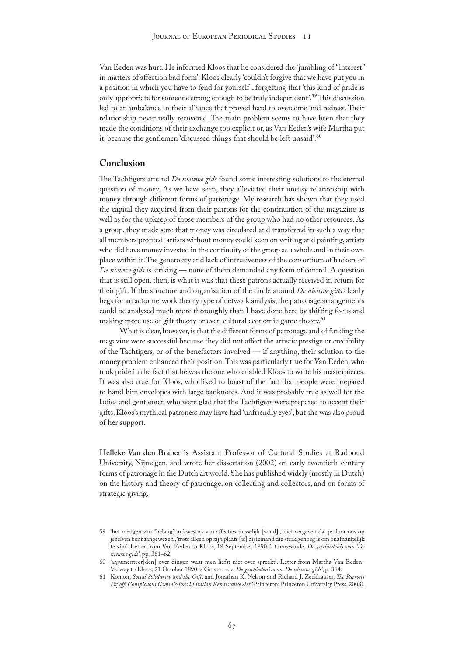Van Eeden was hurt. He informed Kloos that he considered the 'jumbling of "interest" in matters of affection bad form'. Kloos clearly 'couldn't forgive that we have put you in a position in which you have to fend for yourself ', forgetting that 'this kind of pride is only appropriate for someone strong enough to be truly independent'.59 This discussion led to an imbalance in their alliance that proved hard to overcome and redress. Their relationship never really recovered. The main problem seems to have been that they made the conditions of their exchange too explicit or, as Van Eeden's wife Martha put it, because the gentlemen 'discussed things that should be left unsaid'.<sup>60</sup>

# **Conclusion**

The Tachtigers around *De nieuwe gids* found some interesting solutions to the eternal question of money. As we have seen, they alleviated their uneasy relationship with money through different forms of patronage. My research has shown that they used the capital they acquired from their patrons for the continuation of the magazine as well as for the upkeep of those members of the group who had no other resources. As a group, they made sure that money was circulated and transferred in such a way that all members profited: artists without money could keep on writing and painting, artists who did have money invested in the continuity of the group as a whole and in their own place within it. The generosity and lack of intrusiveness of the consortium of backers of *De nieuwe gids* is striking — none of them demanded any form of control. A question that is still open, then, is what it was that these patrons actually received in return for their gift. If the structure and organisation of the circle around *De nieuwe gids* clearly begs for an actor network theory type of network analysis, the patronage arrangements could be analysed much more thoroughly than I have done here by shifting focus and making more use of gift theory or even cultural economic game theory.<sup>61</sup>

What is clear, however, is that the different forms of patronage and of funding the magazine were successful because they did not affect the artistic prestige or credibility of the Tachtigers, or of the benefactors involved — if anything, their solution to the money problem enhanced their position. This was particularly true for Van Eeden, who took pride in the fact that he was the one who enabled Kloos to write his masterpieces. It was also true for Kloos, who liked to boast of the fact that people were prepared to hand him envelopes with large banknotes. And it was probably true as well for the ladies and gentlemen who were glad that the Tachtigers were prepared to accept their gifts. Kloos's mythical patroness may have had 'unfriendly eyes', but she was also proud of her support.

**Helleke Van den Brabe**r is Assistant Professor of Cultural Studies at Radboud University, Nijmegen, and wrote her dissertation (2002) on early-twentieth-century forms of patronage in the Dutch art world. She has published widely (mostly in Dutch) on the history and theory of patronage, on collecting and collectors, and on forms of strategic giving.

<sup>59</sup> 'het mengen van "belang" in kwesties van affecties misselijk [vond]', 'niet vergeven dat je door ons op jezelven bent aangewezen', 'trots alleen op zijn plaats [is] bij iemand die sterk genoeg is om onafhankelijk te zijn'. Letter from Van Eeden to Kloos, 18 September 1890. 's Gravesande, *De geschiedenis van 'De nieuwe gids'*, pp. 361–62.

<sup>60</sup> 'argumenteer[den] over dingen waar men liefst niet over spreekt'. Letter from Martha Van Eeden-Verwey to Kloos, 21 October 1890. 's Gravesande, *De geschiedenis van 'De nieuwe gids'*, p. 364.

<sup>61</sup> Komter, *Social Solidarity and the Gift*, and Jonathan K. Nelson and Richard J. Zeckhauser, *The Patron's Payoff: Conspicuous Commissions in Italian Renaissance Art* (Princeton: Princeton University Press, 2008).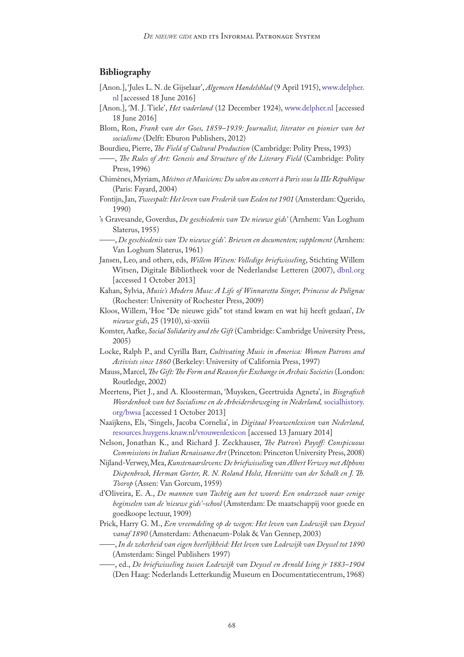# **Bibliography**

- [Anon.], 'Jules L. N. de Gijselaar', *Algemeen Handelsblad* (9 April 1915), [www.delpher.](http://www.delpher.nl/nl/kranten/view?coll=ddd&query=Jules+L.N.+de+Gijselaar&maxperpage=10&facets%5Bperiode%5D%5B%5D=0%7C20e_eeuw%7C&facets%5Bpapertitle%5D%5B%5D=Algemeen+Handelsblad&identifier=ddd%3A010652354%3Ampeg21%3Aa0070&resultsidentifier=ddd%3A010652354%3Ampeg21%3Aa0070) [nl \[](http://www.delpher.nl/nl/kranten/view?coll=ddd&query=Jules+L.N.+de+Gijselaar&maxperpage=10&facets%5Bperiode%5D%5B%5D=0%7C20e_eeuw%7C&facets%5Bpapertitle%5D%5B%5D=Algemeen+Handelsblad&identifier=ddd%3A010652354%3Ampeg21%3Aa0070&resultsidentifier=ddd%3A010652354%3Ampeg21%3Aa0070)accessed 18 June 2016]
- [Anon.], 'M. J. Tiele', *Het vaderland* (12 December 1924), [www.delpher.nl](http://www.delpher.nl/nl/kranten/view?coll=ddd&query=M.J.+tiele&maxperpage=10&facets%5Bpapertitle%5D%5B%5D=Het+Vaderland+%3A+staat-+en+letterkundig+nieuwsblad&identifier=ddd%3A010009439%3Ampeg21%3Aa0016&resultsidentifier=ddd%3A010009439%3Ampeg21%3Aa0016) [accessed 18 June 2016]
- Blom, Ron, *Frank van der Goes, 1859–1939: Journalist, literator en pionier van het socialisme* (Delft: Eburon Publishers, 2012)
- Bourdieu, Pierre, *The Field of Cultural Production* (Cambridge: Polity Press, 1993)
- ——, *The Rules of Art: Genesis and Structure of the Literary Field* (Cambridge: Polity Press, 1996)
- Chimènes, Myriam, *Mécènes et Musiciens: Du salon au concert à Paris sous la IIIe République* (Paris: Fayard, 2004)
- Fontijn, Jan, *Tweespalt: Het leven van Frederik van Eeden tot 1901* (Amsterdam: Querido, 1990)
- 's Gravesande, Goverdus, *De geschiedenis van 'De nieuwe gids'* (Arnhem: Van Loghum Slaterus, 1955)
	- ——, *De geschiedenis van 'De nieuwe gids'. Brieven en documenten; supplement* (Arnhem: Van Loghum Slaterus, 1961)
- Jansen, Leo, and others, eds, *Willem Witsen: Volledige briefwisseling*, Stichting Willem Witsen, Digitale Bibliotheek voor de Nederlandse Letteren (2007), [dbnl.org](http://www.dbnl.org/tekst/wits009brie01_01) [accessed 1 October 2013]
- Kahan, Sylvia, *Music's Modern Muse: A Life of Winnaretta Singer, Princesse de Polignac*  (Rochester: University of Rochester Press, 2009)
- Kloos, Willem, 'Hoe "De nieuwe gids" tot stand kwam en wat hij heeft gedaan', *De nieuwe gids*, 25 (1910), xi-xxviii
- Komter, Aafke, *Social Solidarity and the Gift* (Cambridge: Cambridge University Press, 2005)
- Locke, Ralph P., and Cyrilla Barr, *Cultivating Music in America: Women Patrons and Activists since 1860* (Berkeley: University of California Press, 1997)
- Mauss, Marcel, *The Gift: The Form and Reason for Exchange in Archaic Societies* (London: Routledge, 2002)
- Meertens, Piet J., and A. Kloosterman, 'Muysken, Geertruida Agneta', in *Biografisch Woordenboek van het Socialisme en de Arbeidersbeweging in Nederland,* [socialhistory.](http://socialhistory.org/bwsa/) [org/bwsa](http://socialhistory.org/bwsa/) [accessed 1 October 2013]
- Naaijkens, Els, 'Singels, Jacoba Cornelia', in *Digitaal Vrouwenlexicon van Nederland,*  [resources.huygens.knaw.nl/vrouwenlexicon](http://resources.huygens.knaw.nl/vrouwenlexicon/lemmata/data/Jolles) [accessed 13 January 2014]
- Nelson, Jonathan K., and Richard J. Zeckhauser, *The Patron's Payoff: Conspicuous Commissions in Italian Renaissance Art* (Princeton: Princeton University Press, 2008)
- Nijland-Verwey, Mea, *Kunstenaarslevens: De briefwisseling van Albert Verwey met Alphons Diepenbrock, Herman Gorter, R. N. Roland Holst, Henriëtte van der Schalk en J. Th. Toorop* (Assen: Van Gorcum, 1959)
- d'Oliveira, E. A., *De mannen van Tachtig aan het woord: Een onderzoek naar eenige beginselen van de 'nieuwe gids'-school* (Amsterdam: De maatschappij voor goede en goedkoope lectuur, 1909)
- Prick, Harry G. M., *Een vreemdeling op de wegen: Het leven van Lodewijk van Deyssel vanaf 1890* (Amsterdam: Athenaeum-Polak & Van Gennep, 2003)
	- ——, *In de zekerheid van eigen heerlijkheid: Het leven van Lodewijk van Deyssel tot 1890* (Amsterdam: Singel Publishers 1997)
	- ——, ed., *De briefwisseling tussen Lodewijk van Deyssel en Arnold Ising jr 1883–1904* (Den Haag: Nederlands Letterkundig Museum en Documentatiecentrum, 1968)